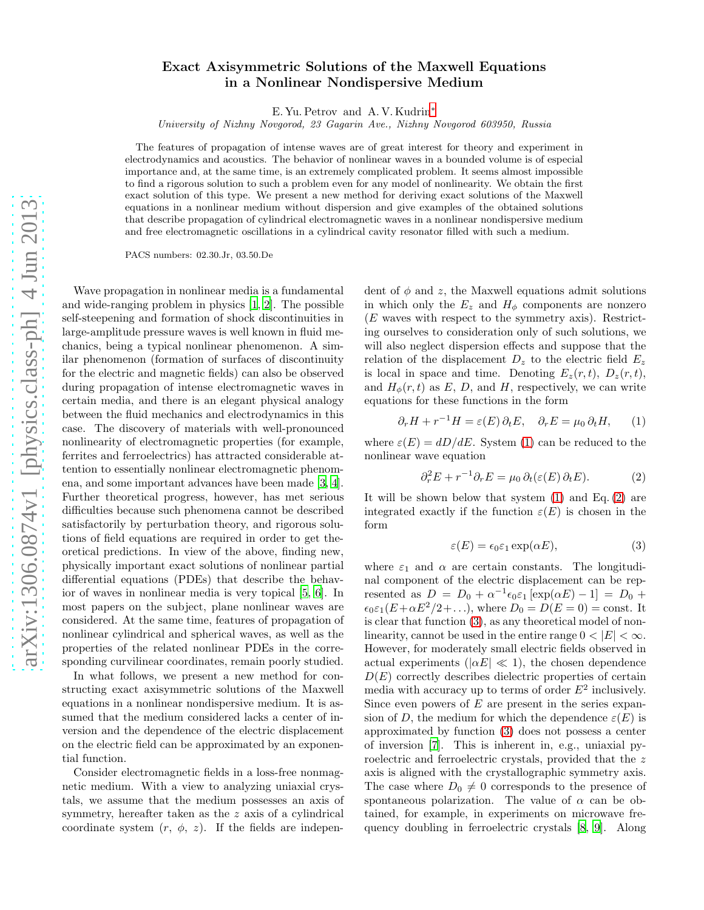## arXiv:1306.0874v1 [physics.class-ph] 4 Jun 2013 [arXiv:1306.0874v1 \[physics.class-ph\] 4 Jun 2013](http://arxiv.org/abs/1306.0874v1)

## Exact Axisymmetric Solutions of the Maxwell Equations in a Nonlinear Nondispersive Medium

E. Yu. Petrov and A. V. Kudrin[∗](#page-3-0)

University of Nizhny Novgorod, 23 Gagarin Ave., Nizhny Novgorod 603950, Russia

The features of propagation of intense waves are of great interest for theory and experiment in electrodynamics and acoustics. The behavior of nonlinear waves in a bounded volume is of especial importance and, at the same time, is an extremely complicated problem. It seems almost impossible to find a rigorous solution to such a problem even for any model of nonlinearity. We obtain the first exact solution of this type. We present a new method for deriving exact solutions of the Maxwell equations in a nonlinear medium without dispersion and give examples of the obtained solutions that describe propagation of cylindrical electromagnetic waves in a nonlinear nondispersive medium and free electromagnetic oscillations in a cylindrical cavity resonator filled with such a medium.

PACS numbers: 02.30.Jr, 03.50.De

Wave propagation in nonlinear media is a fundamental and wide-ranging problem in physics [\[1](#page-3-1), [2\]](#page-3-2). The possible self-steepening and formation of shock discontinuities in large-amplitude pressure waves is well known in fluid mechanics, being a typical nonlinear phenomenon. A similar phenomenon (formation of surfaces of discontinuity for the electric and magnetic fields) can also be observed during propagation of intense electromagnetic waves in certain media, and there is an elegant physical analogy between the fluid mechanics and electrodynamics in this case. The discovery of materials with well-pronounced nonlinearity of electromagnetic properties (for example, ferrites and ferroelectrics) has attracted considerable attention to essentially nonlinear electromagnetic phenomena, and some important advances have been made [\[3](#page-4-0), [4\]](#page-4-1). Further theoretical progress, however, has met serious difficulties because such phenomena cannot be described satisfactorily by perturbation theory, and rigorous solutions of field equations are required in order to get theoretical predictions. In view of the above, finding new, physically important exact solutions of nonlinear partial differential equations (PDEs) that describe the behavior of waves in nonlinear media is very topical [\[5,](#page-4-2) [6](#page-4-3)]. In most papers on the subject, plane nonlinear waves are considered. At the same time, features of propagation of nonlinear cylindrical and spherical waves, as well as the properties of the related nonlinear PDEs in the corresponding curvilinear coordinates, remain poorly studied.

In what follows, we present a new method for constructing exact axisymmetric solutions of the Maxwell equations in a nonlinear nondispersive medium. It is assumed that the medium considered lacks a center of inversion and the dependence of the electric displacement on the electric field can be approximated by an exponential function.

Consider electromagnetic fields in a loss-free nonmagnetic medium. With a view to analyzing uniaxial crystals, we assume that the medium possesses an axis of symmetry, hereafter taken as the z axis of a cylindrical coordinate system  $(r, \phi, z)$ . If the fields are indepen-

dent of  $\phi$  and z, the Maxwell equations admit solutions in which only the  $E_z$  and  $H_{\phi}$  components are nonzero  $(E$  waves with respect to the symmetry axis). Restricting ourselves to consideration only of such solutions, we will also neglect dispersion effects and suppose that the relation of the displacement  $D_z$  to the electric field  $E_z$ is local in space and time. Denoting  $E_z(r, t)$ ,  $D_z(r, t)$ , and  $H_{\phi}(r, t)$  as E, D, and H, respectively, we can write equations for these functions in the form

<span id="page-0-0"></span>
$$
\partial_r H + r^{-1} H = \varepsilon(E) \partial_t E, \quad \partial_r E = \mu_0 \partial_t H, \quad (1)
$$

where  $\varepsilon(E) = dD/dE$ . System [\(1\)](#page-0-0) can be reduced to the nonlinear wave equation

<span id="page-0-1"></span>
$$
\partial_r^2 E + r^{-1} \partial_r E = \mu_0 \, \partial_t (\varepsilon(E) \, \partial_t E). \tag{2}
$$

It will be shown below that system  $(1)$  and Eq.  $(2)$  are integrated exactly if the function  $\varepsilon(E)$  is chosen in the form

<span id="page-0-2"></span>
$$
\varepsilon(E) = \epsilon_0 \varepsilon_1 \exp(\alpha E), \tag{3}
$$

where  $\varepsilon_1$  and  $\alpha$  are certain constants. The longitudinal component of the electric displacement can be represented as  $D = D_0 + \alpha^{-1} \epsilon_0 \epsilon_1 \left[ \exp(\alpha E) - 1 \right] = D_0 +$  $\epsilon_0 \epsilon_1 (E + \alpha E^2/2 + ...)$ , where  $D_0 = D(E = 0) = \text{const.}$  It is clear that function [\(3\)](#page-0-2), as any theoretical model of nonlinearity, cannot be used in the entire range  $0 < |E| < \infty$ . However, for moderately small electric fields observed in actual experiments ( $|\alpha E| \ll 1$ ), the chosen dependence  $D(E)$  correctly describes dielectric properties of certain media with accuracy up to terms of order  $E^2$  inclusively. Since even powers of  $E$  are present in the series expansion of D, the medium for which the dependence  $\varepsilon(E)$  is approximated by function [\(3\)](#page-0-2) does not possess a center of inversion [\[7\]](#page-4-4). This is inherent in, e.g., uniaxial pyroelectric and ferroelectric crystals, provided that the z axis is aligned with the crystallographic symmetry axis. The case where  $D_0 \neq 0$  corresponds to the presence of spontaneous polarization. The value of  $\alpha$  can be obtained, for example, in experiments on microwave frequency doubling in ferroelectric crystals [\[8,](#page-4-5) [9](#page-4-6)]. Along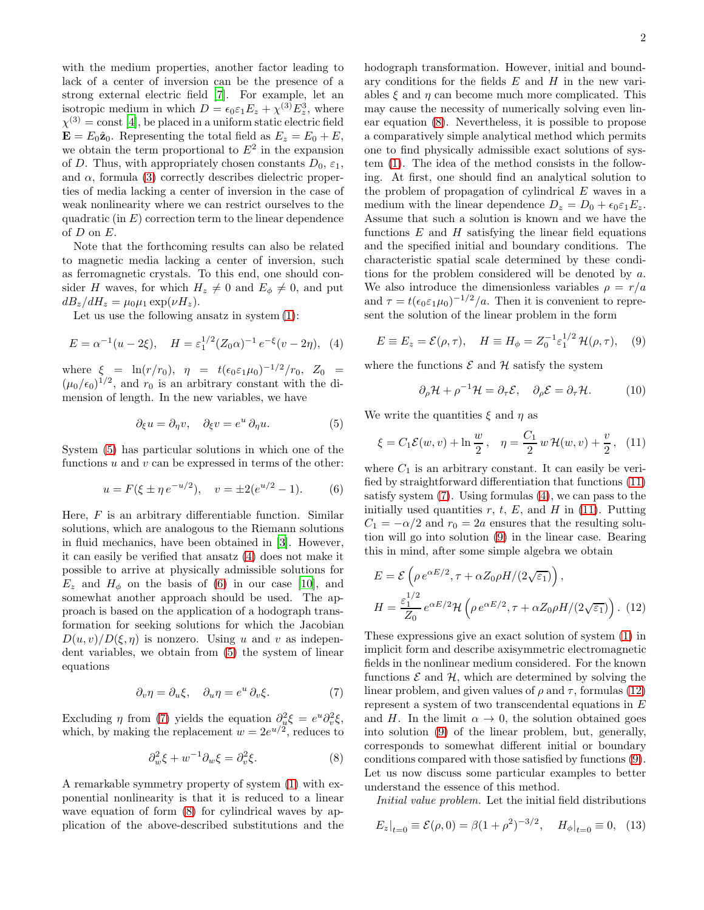with the medium properties, another factor leading to lack of a center of inversion can be the presence of a strong external electric field [\[7\]](#page-4-4). For example, let an isotropic medium in which  $D = \epsilon_0 \epsilon_1 E_z + \chi^{(3)} E_z^3$ , where  $\chi^{(3)} = \text{const}$  [\[4\]](#page-4-1), be placed in a uniform static electric field  $\mathbf{E} = E_0 \hat{\mathbf{z}}_0$ . Representing the total field as  $E_z = E_0 + E$ , we obtain the term proportional to  $E^2$  in the expansion of D. Thus, with appropriately chosen constants  $D_0$ ,  $\varepsilon_1$ , and  $\alpha$ , formula [\(3\)](#page-0-2) correctly describes dielectric properties of media lacking a center of inversion in the case of weak nonlinearity where we can restrict ourselves to the quadratic (in  $E$ ) correction term to the linear dependence of D on E.

Note that the forthcoming results can also be related to magnetic media lacking a center of inversion, such as ferromagnetic crystals. To this end, one should consider H waves, for which  $H_z \neq 0$  and  $E_{\phi} \neq 0$ , and put  $dB_z/dH_z = \mu_0 \mu_1 \exp(\nu H_z).$ 

Let us use the following ansatz in system  $(1)$ :

<span id="page-1-1"></span>
$$
E = \alpha^{-1}(u - 2\xi), \quad H = \varepsilon_1^{1/2}(Z_0 \alpha)^{-1} e^{-\xi}(v - 2\eta), \tag{4}
$$

where  $\xi = \ln(r/r_0), \eta = t(\epsilon_0 \epsilon_1 \mu_0)^{-1/2}/r_0, Z_0 =$  $(\mu_0/\epsilon_0)^{1/2}$ , and  $r_0$  is an arbitrary constant with the dimension of length. In the new variables, we have

<span id="page-1-0"></span>
$$
\partial_{\xi} u = \partial_{\eta} v, \quad \partial_{\xi} v = e^{u} \partial_{\eta} u.
$$
 (5)

System [\(5\)](#page-1-0) has particular solutions in which one of the functions  $u$  and  $v$  can be expressed in terms of the other:

<span id="page-1-2"></span>
$$
u = F(\xi \pm \eta e^{-u/2}), \quad v = \pm 2(e^{u/2} - 1).
$$
 (6)

Here,  $F$  is an arbitrary differentiable function. Similar solutions, which are analogous to the Riemann solutions in fluid mechanics, have been obtained in [\[3](#page-4-0)]. However, it can easily be verified that ansatz [\(4\)](#page-1-1) does not make it possible to arrive at physically admissible solutions for  $E_z$  and  $H_{\phi}$  on the basis of [\(6\)](#page-1-2) in our case [\[10\]](#page-4-7), and somewhat another approach should be used. The approach is based on the application of a hodograph transformation for seeking solutions for which the Jacobian  $D(u, v)/D(\xi, \eta)$  is nonzero. Using u and v as independent variables, we obtain from [\(5\)](#page-1-0) the system of linear equations

<span id="page-1-3"></span>
$$
\partial_v \eta = \partial_u \xi, \quad \partial_u \eta = e^u \partial_v \xi.
$$
 (7)

Excluding  $\eta$  from [\(7\)](#page-1-3) yields the equation  $\partial_{\mu}^2 \xi = e^{\mu} \partial_{\nu}^2 \xi$ , which, by making the replacement  $w = 2e^{u/2}$ , reduces to

<span id="page-1-4"></span>
$$
\partial_w^2 \xi + w^{-1} \partial_w \xi = \partial_v^2 \xi. \tag{8}
$$

A remarkable symmetry property of system [\(1\)](#page-0-0) with exponential nonlinearity is that it is reduced to a linear wave equation of form [\(8\)](#page-1-4) for cylindrical waves by application of the above-described substitutions and the hodograph transformation. However, initial and boundary conditions for the fields  $E$  and  $H$  in the new variables  $\xi$  and  $\eta$  can become much more complicated. This may cause the necessity of numerically solving even linear equation [\(8\)](#page-1-4). Nevertheless, it is possible to propose a comparatively simple analytical method which permits one to find physically admissible exact solutions of system [\(1\)](#page-0-0). The idea of the method consists in the following. At first, one should find an analytical solution to the problem of propagation of cylindrical  $E$  waves in a medium with the linear dependence  $D_z = D_0 + \epsilon_0 \varepsilon_1 E_z$ . Assume that such a solution is known and we have the functions  $E$  and  $H$  satisfying the linear field equations and the specified initial and boundary conditions. The characteristic spatial scale determined by these conditions for the problem considered will be denoted by a. We also introduce the dimensionless variables  $\rho = r/a$ and  $\tau = t(\epsilon_0 \varepsilon_1 \mu_0)^{-1/2}/a$ . Then it is convenient to represent the solution of the linear problem in the form

<span id="page-1-6"></span>
$$
E \equiv E_z = \mathcal{E}(\rho, \tau), \quad H \equiv H_\phi = Z_0^{-1} \varepsilon_1^{1/2} \mathcal{H}(\rho, \tau), \quad (9)
$$

where the functions  $\mathcal E$  and  $\mathcal H$  satisfy the system

<span id="page-1-8"></span>
$$
\partial_{\rho} \mathcal{H} + \rho^{-1} \mathcal{H} = \partial_{\tau} \mathcal{E}, \quad \partial_{\rho} \mathcal{E} = \partial_{\tau} \mathcal{H}.
$$
 (10)

We write the quantities  $\xi$  and  $\eta$  as

<span id="page-1-5"></span>
$$
\xi = C_1 \mathcal{E}(w, v) + \ln \frac{w}{2}, \quad \eta = \frac{C_1}{2} w \mathcal{H}(w, v) + \frac{v}{2}, \quad (11)
$$

where  $C_1$  is an arbitrary constant. It can easily be verified by straightforward differentiation that functions [\(11\)](#page-1-5) satisfy system [\(7\)](#page-1-3). Using formulas [\(4\)](#page-1-1), we can pass to the initially used quantities  $r, t, E$ , and  $H$  in [\(11\)](#page-1-5). Putting  $C_1 = -\alpha/2$  and  $r_0 = 2a$  ensures that the resulting solution will go into solution [\(9\)](#page-1-6) in the linear case. Bearing this in mind, after some simple algebra we obtain

<span id="page-1-7"></span>
$$
E = \mathcal{E}\left(\rho e^{\alpha E/2}, \tau + \alpha Z_0 \rho H/(2\sqrt{\varepsilon_1})\right),
$$
  

$$
H = \frac{\varepsilon_1^{1/2}}{Z_0} e^{\alpha E/2} \mathcal{H}\left(\rho e^{\alpha E/2}, \tau + \alpha Z_0 \rho H/(2\sqrt{\varepsilon_1})\right).
$$
 (12)

These expressions give an exact solution of system [\(1\)](#page-0-0) in implicit form and describe axisymmetric electromagnetic fields in the nonlinear medium considered. For the known functions  $\mathcal E$  and  $\mathcal H$ , which are determined by solving the linear problem, and given values of  $\rho$  and  $\tau$ , formulas [\(12\)](#page-1-7) represent a system of two transcendental equations in  $E$ and H. In the limit  $\alpha \to 0$ , the solution obtained goes into solution [\(9\)](#page-1-6) of the linear problem, but, generally, corresponds to somewhat different initial or boundary conditions compared with those satisfied by functions [\(9\)](#page-1-6). Let us now discuss some particular examples to better understand the essence of this method.

Initial value problem. Let the initial field distributions

<span id="page-1-9"></span>
$$
E_z|_{t=0} \equiv \mathcal{E}(\rho, 0) = \beta (1 + \rho^2)^{-3/2}, \quad H_{\phi}|_{t=0} \equiv 0, \tag{13}
$$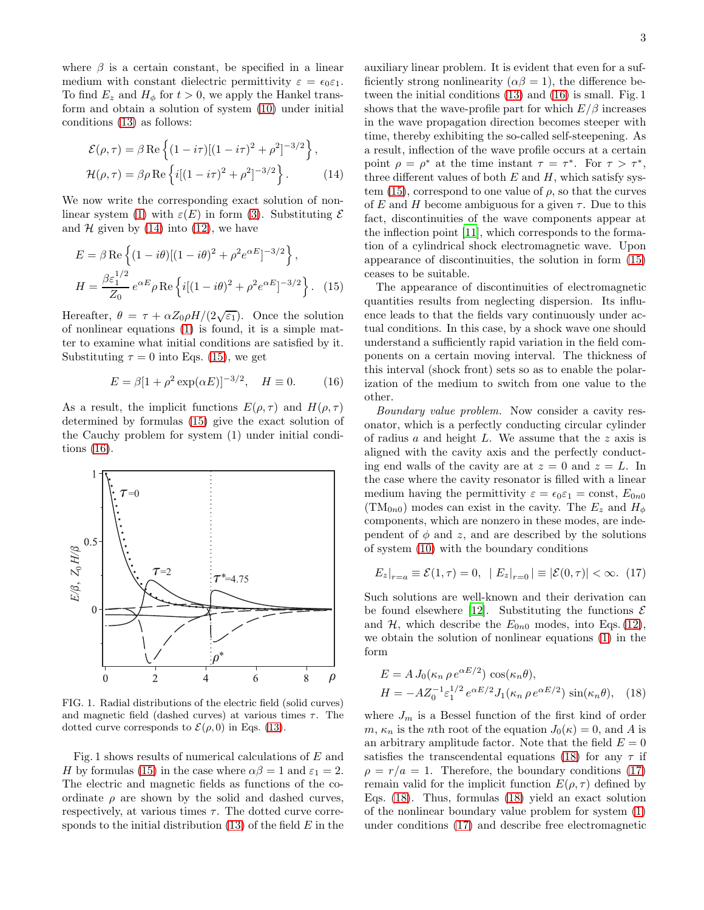where  $\beta$  is a certain constant, be specified in a linear medium with constant dielectric permittivity  $\varepsilon = \epsilon_0 \varepsilon_1$ . To find  $E_z$  and  $H_{\phi}$  for  $t > 0$ , we apply the Hankel transform and obtain a solution of system [\(10\)](#page-1-8) under initial conditions [\(13\)](#page-1-9) as follows:

<span id="page-2-0"></span>
$$
\mathcal{E}(\rho,\tau) = \beta \operatorname{Re} \left\{ (1 - i\tau) [(1 - i\tau)^2 + \rho^2]^{-3/2} \right\},
$$
  

$$
\mathcal{H}(\rho,\tau) = \beta \rho \operatorname{Re} \left\{ i [(1 - i\tau)^2 + \rho^2]^{-3/2} \right\}.
$$
 (14)

We now write the corresponding exact solution of non-linear system [\(1\)](#page-0-0) with  $\varepsilon(E)$  in form [\(3\)](#page-0-2). Substituting  $\mathcal E$ and  $H$  given by [\(14\)](#page-2-0) into [\(12\)](#page-1-7), we have

<span id="page-2-1"></span>
$$
E = \beta \operatorname{Re} \left\{ (1 - i\theta)[(1 - i\theta)^2 + \rho^2 e^{\alpha E}]^{-3/2} \right\},
$$
  

$$
H = \frac{\beta \varepsilon_1^{1/2}}{Z_0} e^{\alpha E} \rho \operatorname{Re} \left\{ i[(1 - i\theta)^2 + \rho^2 e^{\alpha E}]^{-3/2} \right\}. \quad (15)
$$

Hereafter,  $\theta = \tau + \alpha Z_0 \rho H / (2 \sqrt{\varepsilon_1})$ . Once the solution of nonlinear equations [\(1\)](#page-0-0) is found, it is a simple matter to examine what initial conditions are satisfied by it. Substituting  $\tau = 0$  into Eqs. [\(15\)](#page-2-1), we get

<span id="page-2-2"></span>
$$
E = \beta[1 + \rho^2 \exp(\alpha E)]^{-3/2}, \quad H \equiv 0.
$$
 (16)

As a result, the implicit functions  $E(\rho, \tau)$  and  $H(\rho, \tau)$ determined by formulas [\(15\)](#page-2-1) give the exact solution of the Cauchy problem for system (1) under initial conditions [\(16\)](#page-2-2).



FIG. 1. Radial distributions of the electric field (solid curves) and magnetic field (dashed curves) at various times  $\tau$ . The dotted curve corresponds to  $\mathcal{E}(\rho, 0)$  in Eqs. [\(13\)](#page-1-9).

Fig. 1 shows results of numerical calculations of E and H by formulas [\(15\)](#page-2-1) in the case where  $\alpha\beta = 1$  and  $\varepsilon_1 = 2$ . The electric and magnetic fields as functions of the coordinate  $\rho$  are shown by the solid and dashed curves, respectively, at various times  $\tau$ . The dotted curve corresponds to the initial distribution  $(13)$  of the field  $E$  in the auxiliary linear problem. It is evident that even for a sufficiently strong nonlinearity ( $\alpha\beta = 1$ ), the difference between the initial conditions [\(13\)](#page-1-9) and [\(16\)](#page-2-2) is small. Fig. 1 shows that the wave-profile part for which  $E/\beta$  increases in the wave propagation direction becomes steeper with time, thereby exhibiting the so-called self-steepening. As a result, inflection of the wave profile occurs at a certain point  $\rho = \rho^*$  at the time instant  $\tau = \tau^*$ . For  $\tau > \tau^*$ , three different values of both  $E$  and  $H$ , which satisfy sys-tem [\(15\)](#page-2-1), correspond to one value of  $\rho$ , so that the curves of E and H become ambiguous for a given  $\tau$ . Due to this fact, discontinuities of the wave components appear at the inflection point [\[11\]](#page-4-8), which corresponds to the formation of a cylindrical shock electromagnetic wave. Upon appearance of discontinuities, the solution in form [\(15\)](#page-2-1) ceases to be suitable.

The appearance of discontinuities of electromagnetic quantities results from neglecting dispersion. Its influence leads to that the fields vary continuously under actual conditions. In this case, by a shock wave one should understand a sufficiently rapid variation in the field components on a certain moving interval. The thickness of this interval (shock front) sets so as to enable the polarization of the medium to switch from one value to the other.

Boundary value problem. Now consider a cavity resonator, which is a perfectly conducting circular cylinder of radius a and height L. We assume that the  $z$  axis is aligned with the cavity axis and the perfectly conducting end walls of the cavity are at  $z = 0$  and  $z = L$ . In the case where the cavity resonator is filled with a linear medium having the permittivity  $\varepsilon = \epsilon_0 \varepsilon_1 = \text{const}, E_{0n0}$ (TM<sub>0n0</sub>) modes can exist in the cavity. The  $E_z$  and  $H_{\phi}$ components, which are nonzero in these modes, are independent of  $\phi$  and z, and are described by the solutions of system [\(10\)](#page-1-8) with the boundary conditions

<span id="page-2-4"></span>
$$
E_z|_{r=a} \equiv \mathcal{E}(1,\tau) = 0, \ \ |E_z|_{r=0} \equiv |\mathcal{E}(0,\tau)| < \infty. \tag{17}
$$

Such solutions are well-known and their derivation can be found elsewhere [\[12](#page-4-9)]. Substituting the functions  $\mathcal E$ and  $H$ , which describe the  $E_{0n0}$  modes, into Eqs. [\(12\)](#page-1-7), we obtain the solution of nonlinear equations [\(1\)](#page-0-0) in the form

<span id="page-2-3"></span>
$$
E = A J_0(\kappa_n \rho e^{\alpha E/2}) \cos(\kappa_n \theta),
$$
  
\n
$$
H = -A Z_0^{-1} \varepsilon_1^{1/2} e^{\alpha E/2} J_1(\kappa_n \rho e^{\alpha E/2}) \sin(\kappa_n \theta),
$$
 (18)

where  $J_m$  is a Bessel function of the first kind of order m,  $\kappa_n$  is the nth root of the equation  $J_0(\kappa) = 0$ , and A is an arbitrary amplitude factor. Note that the field  $E = 0$ satisfies the transcendental equations [\(18\)](#page-2-3) for any  $\tau$  if  $\rho = r/a = 1$ . Therefore, the boundary conditions [\(17\)](#page-2-4) remain valid for the implicit function  $E(\rho, \tau)$  defined by Eqs. [\(18\)](#page-2-3). Thus, formulas [\(18\)](#page-2-3) yield an exact solution of the nonlinear boundary value problem for system [\(1\)](#page-0-0) under conditions [\(17\)](#page-2-4) and describe free electromagnetic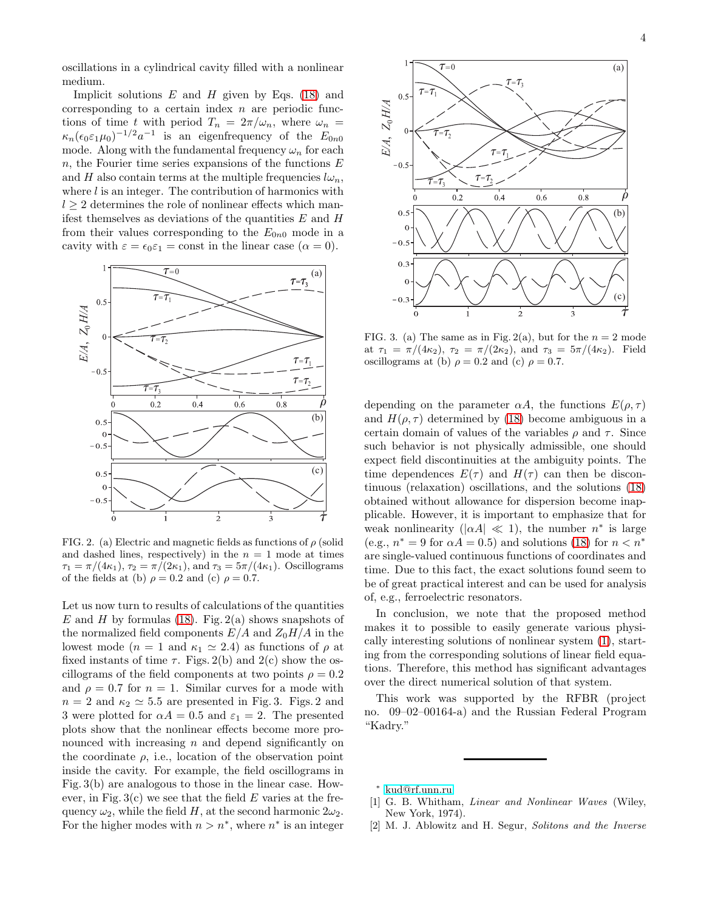oscillations in a cylindrical cavity filled with a nonlinear medium.

Implicit solutions  $E$  and  $H$  given by Eqs. [\(18\)](#page-2-3) and corresponding to a certain index  $n$  are periodic functions of time t with period  $T_n = 2\pi/\omega_n$ , where  $\omega_n =$  $\kappa_n(\epsilon_0 \epsilon_1 \mu_0)^{-1/2} a^{-1}$  is an eigenfrequency of the  $E_{0n0}$ mode. Along with the fundamental frequency  $\omega_n$  for each  $n$ , the Fourier time series expansions of the functions  $E$ and H also contain terms at the multiple frequencies  $l\omega_n$ , where  $l$  is an integer. The contribution of harmonics with  $l \geq 2$  determines the role of nonlinear effects which manifest themselves as deviations of the quantities  $E$  and  $H$ from their values corresponding to the  $E_{0n0}$  mode in a cavity with  $\varepsilon = \epsilon_0 \varepsilon_1 = \text{const}$  in the linear case  $(\alpha = 0)$ .



FIG. 2. (a) Electric and magnetic fields as functions of  $\rho$  (solid and dashed lines, respectively) in the  $n = 1$  mode at times  $\tau_1 = \pi/(4\kappa_1), \tau_2 = \pi/(2\kappa_1), \text{ and } \tau_3 = 5\pi/(4\kappa_1).$  Oscillograms of the fields at (b)  $\rho = 0.2$  and (c)  $\rho = 0.7$ .

Let us now turn to results of calculations of the quantities E and H by formulas [\(18\)](#page-2-3). Fig. 2(a) shows snapshots of the normalized field components  $E/A$  and  $Z_0H/A$  in the lowest mode ( $n = 1$  and  $\kappa_1 \simeq 2.4$ ) as functions of  $\rho$  at fixed instants of time  $\tau$ . Figs. 2(b) and 2(c) show the oscillograms of the field components at two points  $\rho = 0.2$ and  $\rho = 0.7$  for  $n = 1$ . Similar curves for a mode with  $n = 2$  and  $\kappa_2 \simeq 5.5$  are presented in Fig. 3. Figs. 2 and 3 were plotted for  $\alpha A = 0.5$  and  $\varepsilon_1 = 2$ . The presented plots show that the nonlinear effects become more pronounced with increasing  $n$  and depend significantly on the coordinate  $\rho$ , i.e., location of the observation point inside the cavity. For example, the field oscillograms in Fig. 3(b) are analogous to those in the linear case. However, in Fig.  $3(c)$  we see that the field E varies at the frequency  $\omega_2$ , while the field H, at the second harmonic  $2\omega_2$ . For the higher modes with  $n > n^*$ , where  $n^*$  is an integer



FIG. 3. (a) The same as in Fig. 2(a), but for the  $n = 2$  mode at  $\tau_1 = \pi/(4\kappa_2)$ ,  $\tau_2 = \pi/(2\kappa_2)$ , and  $\tau_3 = 5\pi/(4\kappa_2)$ . Field oscillograms at (b)  $\rho = 0.2$  and (c)  $\rho = 0.7$ .

depending on the parameter  $\alpha A$ , the functions  $E(\rho, \tau)$ and  $H(\rho, \tau)$  determined by [\(18\)](#page-2-3) become ambiguous in a certain domain of values of the variables  $\rho$  and  $\tau$ . Since such behavior is not physically admissible, one should expect field discontinuities at the ambiguity points. The time dependences  $E(\tau)$  and  $H(\tau)$  can then be discontinuous (relaxation) oscillations, and the solutions [\(18\)](#page-2-3) obtained without allowance for dispersion become inapplicable. However, it is important to emphasize that for weak nonlinearity ( $|\alpha A| \ll 1$ ), the number  $n^*$  is large (e.g.,  $n^* = 9$  for  $\alpha A = 0.5$ ) and solutions [\(18\)](#page-2-3) for  $n < n^*$ are single-valued continuous functions of coordinates and time. Due to this fact, the exact solutions found seem to be of great practical interest and can be used for analysis of, e.g., ferroelectric resonators.

In conclusion, we note that the proposed method makes it to possible to easily generate various physically interesting solutions of nonlinear system [\(1\)](#page-0-0), starting from the corresponding solutions of linear field equations. Therefore, this method has significant advantages over the direct numerical solution of that system.

This work was supported by the RFBR (project no. 09–02–00164-a) and the Russian Federal Program "Kadry."

- ∗ [kud@rf.unn.ru](mailto:kud@rf.unn.ru)
- <span id="page-3-1"></span><span id="page-3-0"></span>[1] G. B. Whitham, *Linear and Nonlinear Waves* (Wiley, New York, 1974).
- <span id="page-3-2"></span>[2] M. J. Ablowitz and H. Segur, Solitons and the Inverse